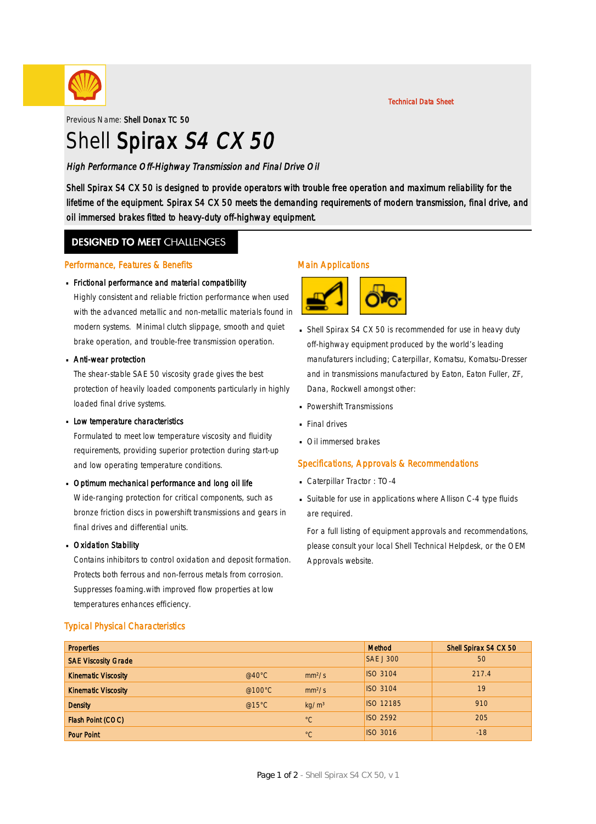

Previous Name: Shell Donax TC 50

# Shell Spirax S4 CX 50

High Performance Off-Highway Transmission and Final Drive Oil

Shell Spirax S4 CX 50 is designed to provide operators with trouble free operation and maximum reliability for the lifetime of the equipment. Spirax S4 CX 50 meets the demanding requirements of modern transmission, final drive, and oil immersed brakes fitted to heavy-duty off-highway equipment.

### **DESIGNED TO MEET CHALLENGES**

### Performance, Features & Benefits

# Frictional performance and material compatibility ·

Highly consistent and reliable friction performance when used with the advanced metallic and non-metallic materials found in modern systems. Minimal clutch slippage, smooth and quiet brake operation, and trouble-free transmission operation.

# **Anti-wear protection**

The shear-stable SAE 50 viscosity grade gives the best protection of heavily loaded components particularly in highly loaded final drive systems.

# **Low temperature characteristics**

Formulated to meet low temperature viscosity and fluidity requirements, providing superior protection during start-up and low operating temperature conditions.

# Dptimum mechanical performance and long oil life

Wide-ranging protection for critical components, such as bronze friction discs in powershift transmissions and gears in final drives and differential units.

# **Dxidation Stability**

Contains inhibitors to control oxidation and deposit formation. Protects both ferrous and non-ferrous metals from corrosion. Suppresses foaming.with improved flow properties at low temperatures enhances efficiency.

### Typical Physical Characteristics

### Main Applications



- Shell Spirax S4 CX 50 is recommended for use in heavy duty · off-highway equipment produced by the world's leading manufaturers including; Caterpillar, Komatsu, Komatsu-Dresser and in transmissions manufactured by Eaton, Eaton Fuller, ZF, Dana, Rockwell amongst other:
- Powershift Transmissions ·
- **Final drives**
- **· Oil immersed brakes**

### Specifications, Approvals & Recommendations

- Caterpillar Tractor : TO-4 ·
- Suitable for use in applications where Allison C-4 type fluids · are required.

For a full listing of equipment approvals and recommendations, please consult your local Shell Technical Helpdesk, or the OEM Approvals website.

| <b>Properties</b>          |                  |                    | Method           | Shell Spirax S4 CX 50 |
|----------------------------|------------------|--------------------|------------------|-----------------------|
| <b>SAE Viscosity Grade</b> |                  |                    | <b>SAE J 300</b> | 50                    |
| <b>Kinematic Viscosity</b> | $@40^{\circ}$ C  | mm <sup>2</sup> /s | <b>ISO 3104</b>  | 217.4                 |
| <b>Kinematic Viscosity</b> | @100 $\degree$ C | mm <sup>2</sup> /s | <b>ISO 3104</b>  | 19                    |
| <b>Density</b>             | @15 $°C$         | kg/m <sup>3</sup>  | ISO 12185        | 910                   |
| Flash Point (COC)          |                  | $^{\circ}C$        | <b>ISO 2592</b>  | 205                   |
| <b>Pour Point</b>          |                  | $^{\circ}C$        | <b>ISO 3016</b>  | $-18$                 |

Technical Data Sheet